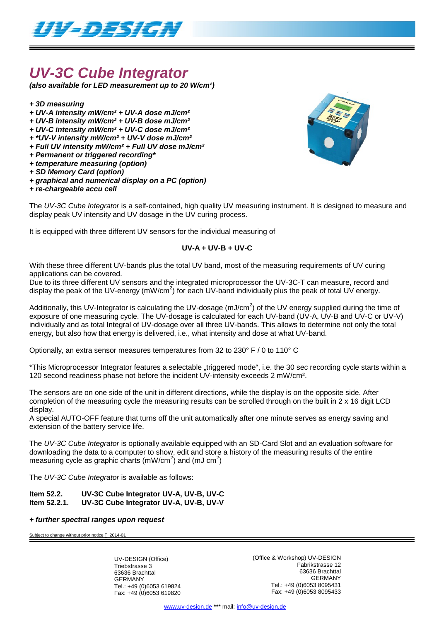

## *UV-3C Cube Integrator*

*(also available for LED measurement up to 20 W/cm²)*

- *+ 3D measuring*
- *+ UV-A intensity mW/cm² + UV-A dose mJ/cm²*
- *+ UV-B intensity mW/cm² + UV-B dose mJ/cm²*
- *+ UV-C intensity mW/cm² + UV-C dose mJ/cm²*
- *+ \*UV-V intensity mW/cm² + UV-V dose mJ/cm²*
- *+ Full UV intensity mW/cm² + Full UV dose mJ/cm²*
- *+ Permanent or triggered recording\**
- *+ temperature measuring (option)*
- *+ SD Memory Card (option)*
- *+ graphical and numerical display on a PC (option)*
- *+ re-chargeable accu cell*



The *UV-3C Cube Integrator* is a self-contained, high quality UV measuring instrument. It is designed to measure and display peak UV intensity and UV dosage in the UV curing process.

It is equipped with three different UV sensors for the individual measuring of

### **UV-A + UV-B + UV-C**

With these three different UV-bands plus the total UV band, most of the measuring requirements of UV curing applications can be covered.

Due to its three different UV sensors and the integrated microprocessor the UV-3C-T can measure, record and display the peak of the UV-energy (mW/cm<sup>2</sup>) for each UV-band individually plus the peak of total UV energy.

Additionally, this UV-Integrator is calculating the UV-dosage (mJ/cm<sup>2</sup>) of the UV energy supplied during the time of exposure of one measuring cycle. The UV-dosage is calculated for each UV-band (UV-A, UV-B and UV-C or UV-V) individually and as total Integral of UV-dosage over all three UV-bands. This allows to determine not only the total energy, but also how that energy is delivered, i.e., what intensity and dose at what UV-band.

Optionally, an extra sensor measures temperatures from 32 to 230° F / 0 to 110° C

\*This Microprocessor Integrator features a selectable "triggered mode", i.e. the 30 sec recording cycle starts within a 120 second readiness phase not before the incident UV-intensity exceeds 2 mW/cm².

The sensors are on one side of the unit in different directions, while the display is on the opposite side. After completion of the measuring cycle the measuring results can be scrolled through on the built in 2 x 16 digit LCD display.

A special AUTO-OFF feature that turns off the unit automatically after one minute serves as energy saving and extension of the battery service life.

The *UV-3C Cube Integrator* is optionally available equipped with an SD-Card Slot and an evaluation software for downloading the data to a computer to show, edit and store a history of the measuring results of the entire measuring cycle as graphic charts (mW/cm<sup>2</sup>) and (mJ cm<sup>2</sup>)

The *UV-3C Cube Integrator* is available as follows:

#### **Item 52.2. UV-3C Cube Integrator UV-A, UV-B, UV-C Item 52.2.1. UV-3C Cube Integrator UV-A, UV-B, UV-V**

### *+ further spectral ranges upon request*

Subject to change without prior notice  $@$  2014-01

UV-DESIGN (Office) Triebstrasse 3 63636 Brachttal GERMANY Tel.: +49 (0)6053 619824 Fax: +49 (0)6053 619820 (Office & Workshop) UV-DESIGN Fabrikstrasse 12 63636 Brachttal GERMANY Tel.: +49 (0)6053 8095431 Fax: +49 (0)6053 8095433